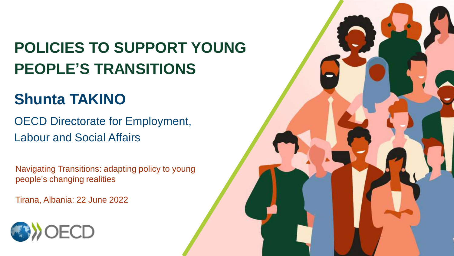## **POLICIES TO SUPPORT YOUNG PEOPLE'S TRANSITIONS**

### **Shunta TAKINO**

OECD Directorate for Employment, Labour and Social Affairs

Navigating Transitions: adapting policy to young people's changing realities

Tirana, Albania: 22 June 2022



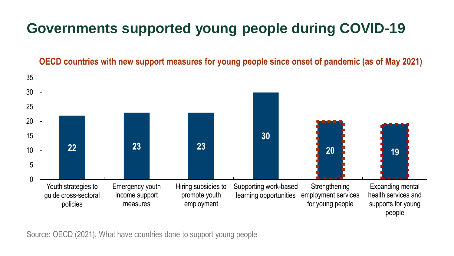### **Governments supported young people during COVID-19**

**OECD countries with new support measures for young people since onset of pandemic (as of May 2021)**



Source: OECD (2021), What have countries done to support young people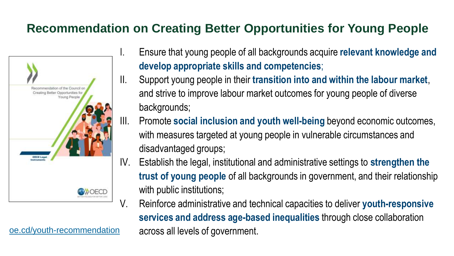### **Recommendation on Creating Better Opportunities for Young People**



[oe.cd/youth-recommendation](https://oe.cd/youth-recommendation)

- Ensure that young people of all backgrounds acquire **relevant knowledge and develop appropriate skills and competencies**;
- II. Support young people in their **transition into and within the labour market**, and strive to improve labour market outcomes for young people of diverse backgrounds;
- III. Promote **social inclusion and youth well-being** beyond economic outcomes, with measures targeted at young people in vulnerable circumstances and disadvantaged groups;
- IV. Establish the legal, institutional and administrative settings to **strengthen the trust of young people** of all backgrounds in government, and their relationship with public institutions;
- V. Reinforce administrative and technical capacities to deliver **youth-responsive services and address age-based inequalities** through close collaboration across all levels of government.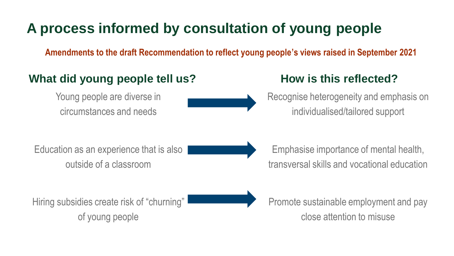### **A process informed by consultation of young people**

**Amendments to the draft Recommendation to reflect young people's views raised in September 2021**

#### **What did young people tell us? How is this reflected?**

Young people are diverse in circumstances and needs

Recognise heterogeneity and emphasis on individualised/tailored support

Education as an experience that is also outside of a classroom



Emphasise importance of mental health, transversal skills and vocational education

Hiring subsidies create risk of "churning" of young people

Promote sustainable employment and pay close attention to misuse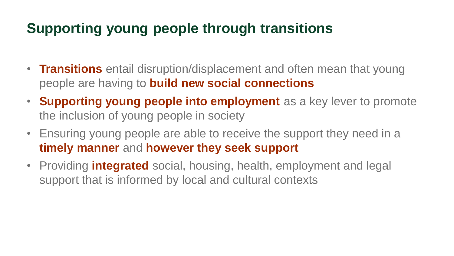### **Supporting young people through transitions**

- **Transitions** entail disruption/displacement and often mean that young people are having to **build new social connections**
- **Supporting young people into employment** as a key lever to promote the inclusion of young people in society
- Ensuring young people are able to receive the support they need in a **timely manner** and **however they seek support**
- Providing **integrated** social, housing, health, employment and legal support that is informed by local and cultural contexts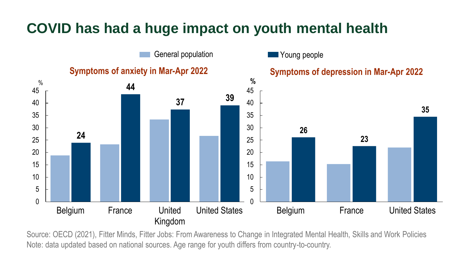### **COVID has had a huge impact on youth mental health**



Source: OECD (2021), Fitter Minds, Fitter Jobs: From Awareness to Change in Integrated Mental Health, Skills and Work Policies Note: data updated based on national sources. Age range for youth differs from country-to-country.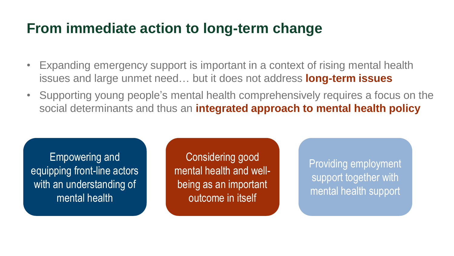### **From immediate action to long-term change**

- Expanding emergency support is important in a context of rising mental health issues and large unmet need… but it does not address **long-term issues**
- Supporting young people's mental health comprehensively requires a focus on the social determinants and thus an **integrated approach to mental health policy**

Empowering and equipping front-line actors with an understanding of mental health

Considering good mental health and wellbeing as an important outcome in itself

Providing employment support together with mental health support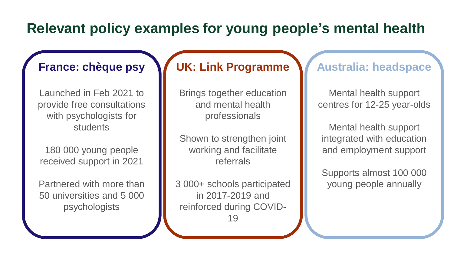### **Relevant policy examples for young people's mental health**

#### **France: chèque psy**

Launched in Feb 2021 to provide free consultations with psychologists for **students** 

180 000 young people received support in 2021

Partnered with more than 50 universities and 5 000 psychologists

#### **UK: Link Programme**

Brings together education and mental health professionals

Shown to strengthen joint working and facilitate referrals

3 000+ schools participated in 2017-2019 and reinforced during COVID-19

#### **Australia: headspace**

Mental health support centres for 12-25 year-olds

Mental health support integrated with education and employment support

Supports almost 100 000 young people annually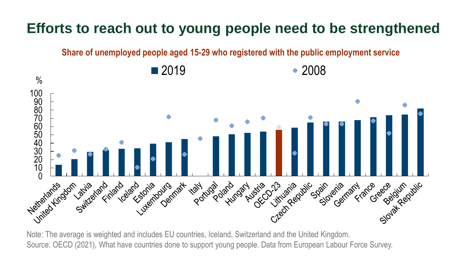### **Efforts to reach out to young people need to be strengthened**

**Share of unemployed people aged 15-29 who registered with the public employment service**



Note: The average is weighted and includes EU countries, Iceland, Switzerland and the United Kingdom. Source: OECD (2021), What have countries done to support young people. Data from European Labour Force Survey.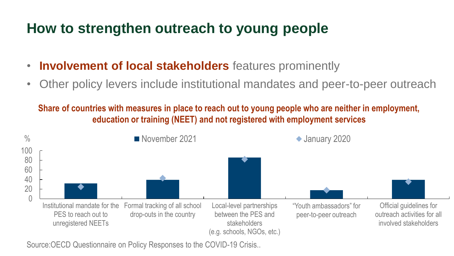### **How to strengthen outreach to young people**

- **Involvement of local stakeholders** features prominently
- Other policy levers include institutional mandates and peer-to-peer outreach

**Share of countries with measures in place to reach out to young people who are neither in employment, education or training (NEET) and not registered with employment services**



Source:OECD Questionnaire on Policy Responses to the COVID-19 Crisis..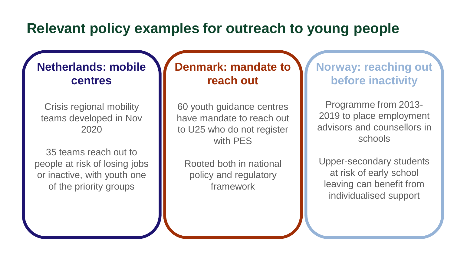### **Relevant policy examples for outreach to young people**

#### **Netherlands: mobile centres**

Crisis regional mobility teams developed in Nov 2020

35 teams reach out to people at risk of losing jobs or inactive, with youth one of the priority groups

#### **Denmark: mandate to reach out**

60 youth guidance centres have mandate to reach out to U25 who do not register with PES

Rooted both in national policy and regulatory framework

#### **Norway: reaching out before inactivity**

Programme from 2013- 2019 to place employment advisors and counsellors in schools

Upper-secondary students at risk of early school leaving can benefit from individualised support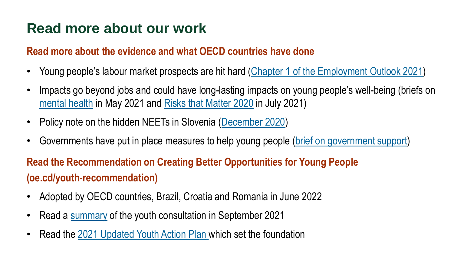### **Read more about our work**

#### **Read more about the evidence and what OECD countries have done**

- Young people's labour market prospects are hit hard [\(Chapter 1 of the Employment Outlook 2021\)](https://www.oecd-ilibrary.org/sites/5a700c4b-en/1/3/1/index.html?itemId=/content/publication/5a700c4b-en&_csp_=d31326a7706c58707d6aad05ad9dc5ab&itemIGO=oecd&itemContentType=book&_ga=2.134904376.877742658.1634736508-1396865369.1550067075#abstract-d1e295)
- Impacts go beyond jobs and could have long-lasting impacts on young people's well-being (briefs on [mental health](https://www.oecd.org/coronavirus/policy-responses/supporting-young-people-s-mental-health-through-the-covid-19-crisis-84e143e5/?_ga=2.105993475.1859663312.1620649332-2032680464.1569856035) in May 2021 and [Risks that Matter 2020](http://oe.cd/covid-youth-rtm) in July 2021)
- Policy note on the hidden NEETs in Slovenia ([December 2020\)](https://www.oecd.org/employment/youth/OECD-2020-Hidden-NEETs-Slovenia.pdf)
- Governments have put in place measures to help young people ([brief on government support](http://oe.cd/covid-youth-support))

#### **Read the Recommendation on Creating Better Opportunities for Young People (oe.cd/youth-recommendation)**

- Adopted by OECD countries, Brazil, Croatia and Romania in June 2022
- Read a [summary](https://www.oecd.org/social/Youth-Consultation-OECD-Youth-Week-2021.pdf) of the youth consultation in September 2021
- Read the [2021 Updated Youth Action Plan](https://www.oecd.org/employment/youth/The-Updated-OECD-Youth-Action-Plan.pdf) which set the foundation